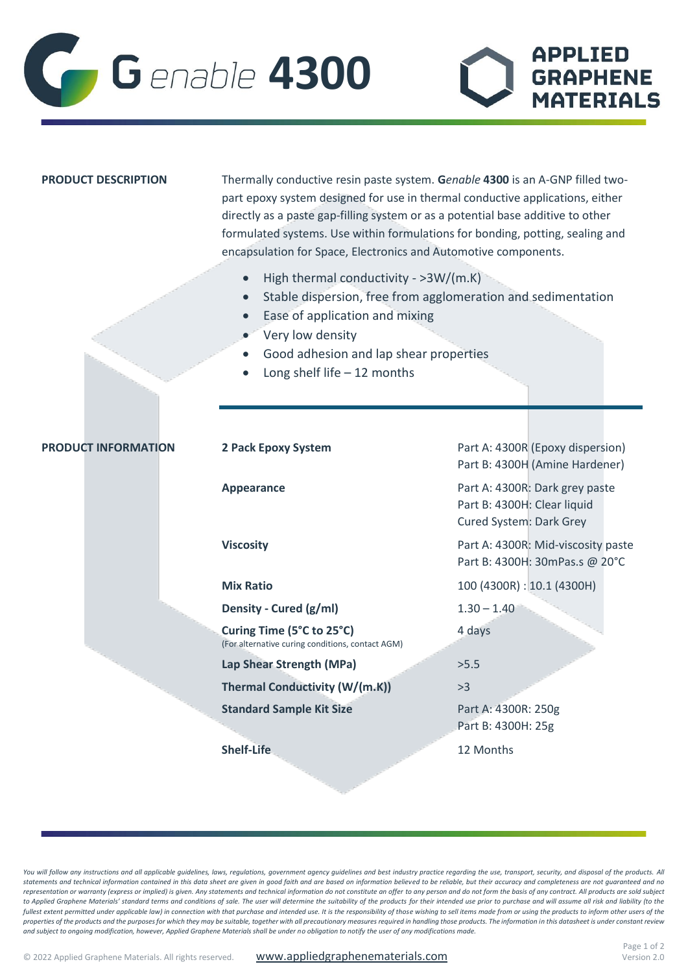

| <b>PRODUCT DESCRIPTION</b> | Thermally conductive resin paste system. Genable 4300 is an A-GNP filled two-<br>part epoxy system designed for use in thermal conductive applications, either<br>directly as a paste gap-filling system or as a potential base additive to other<br>formulated systems. Use within formulations for bonding, potting, sealing and<br>encapsulation for Space, Electronics and Automotive components. |                                                                                          |
|----------------------------|-------------------------------------------------------------------------------------------------------------------------------------------------------------------------------------------------------------------------------------------------------------------------------------------------------------------------------------------------------------------------------------------------------|------------------------------------------------------------------------------------------|
|                            | High thermal conductivity - >3W/(m.K)<br>Stable dispersion, free from agglomeration and sedimentation<br>$\bullet$<br>Ease of application and mixing<br>Very low density<br>Good adhesion and lap shear properties<br>Long shelf life $-12$ months                                                                                                                                                    |                                                                                          |
|                            |                                                                                                                                                                                                                                                                                                                                                                                                       |                                                                                          |
| <b>PRODUCT INFORMATION</b> | 2 Pack Epoxy System                                                                                                                                                                                                                                                                                                                                                                                   | Part A: 4300R (Epoxy dispersion)<br>Part B: 4300H (Amine Hardener)                       |
|                            | <b>Appearance</b>                                                                                                                                                                                                                                                                                                                                                                                     | Part A: 4300R: Dark grey paste<br>Part B: 4300H: Clear liquid<br>Cured System: Dark Grey |
|                            | <b>Viscosity</b>                                                                                                                                                                                                                                                                                                                                                                                      | Part A: 4300R: Mid-viscosity paste<br>Part B: 4300H: 30mPas.s @ 20°C                     |
|                            | <b>Mix Ratio</b>                                                                                                                                                                                                                                                                                                                                                                                      | 100 (4300R) : 10.1 (4300H)                                                               |
|                            | Density - Cured (g/ml)                                                                                                                                                                                                                                                                                                                                                                                | $1.30 - 1.40$                                                                            |
|                            | Curing Time (5°C to 25°C)<br>(For alternative curing conditions, contact AGM)                                                                                                                                                                                                                                                                                                                         | 4 days                                                                                   |
|                            | Lap Shear Strength (MPa)                                                                                                                                                                                                                                                                                                                                                                              | >5.5                                                                                     |
|                            | Thermal Conductivity (W/(m.K))                                                                                                                                                                                                                                                                                                                                                                        | >3                                                                                       |
|                            | <b>Standard Sample Kit Size</b>                                                                                                                                                                                                                                                                                                                                                                       | Part A: 4300R: 250g<br>Part B: 4300H: 25g                                                |
|                            | <b>Shelf-Life</b>                                                                                                                                                                                                                                                                                                                                                                                     | 12 Months                                                                                |

You will follow any instructions and all applicable guidelines, laws, regulations, government agency guidelines and best industry practice regarding the use, transport, security, and disposal of the products. All *statements and technical information contained in this data sheet are given in good faith and are based on information believed to be reliable, but their accuracy and completeness are not guaranteed and no*  representation or warranty (express or implied) is given. Any statements and technical information do not constitute an offer to any person and do not form the basis of any contract. All products are sold subject to Applied Graphene Materials' standard terms and conditions of sale. The user will determine the suitability of the products for their intended use prior to purchase and will assume all risk and liability (to the *fullest extent permitted under applicable law) in connection with that purchase and intended use. It is the responsibility of those wishing to sell items made from or using the products to inform other users of the properties of the products and the purposes for which they may be suitable, together with all precautionary measures required in handling those products. The information in this datasheet is under constant review and subject to ongoing modification, however, Applied Graphene Materials shall be under no obligation to notify the user of any modifications made.*

**APPLIED** 

**GRAPHENE** 

**MATERIALS**